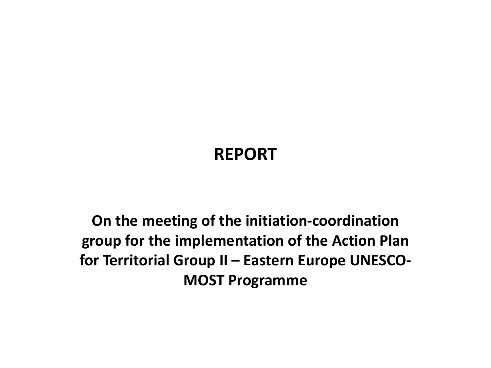## **REPORT**

**On the meeting of the initiation-coordination** group for the implementation of the Action Plan for Territorial Group II - Eastern Europe UNESCO-**MOST Programme**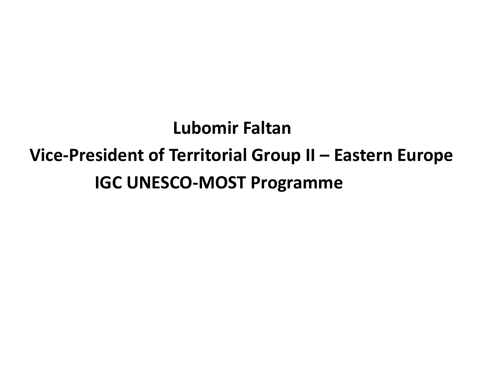**Lubomir Faltan Vice-President of Territorial Group II – Eastern Europe IGC UNESCO-MOST Programme**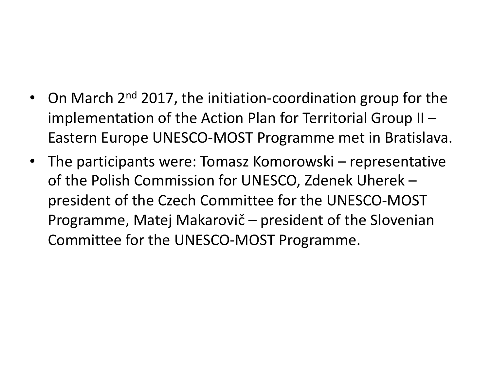- On March  $2<sup>nd</sup>$  2017, the initiation-coordination group for the implementation of the Action Plan for Territorial Group II  $-$ Eastern Europe UNESCO-MOST Programme met in Bratislava.
- The participants were: Tomasz Komorowski representative of the Polish Commission for UNESCO, Zdenek Uherek president of the Czech Committee for the UNESCO-MOST Programme, Matej Makarovič – president of the Slovenian Committee for the UNESCO-MOST Programme.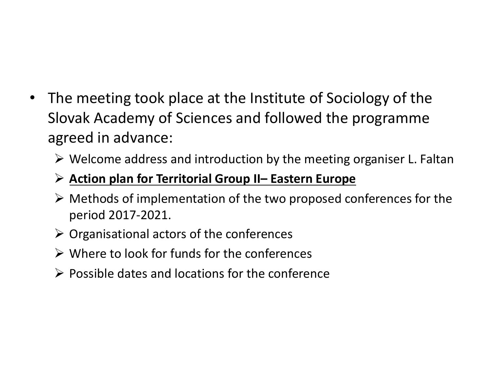- The meeting took place at the Institute of Sociology of the Slovak Academy of Sciences and followed the programme agreed in advance:
	- $\triangleright$  Welcome address and introduction by the meeting organiser L. Faltan

## **▶ Action plan for Territorial Group II– Eastern Europe**

- $\triangleright$  Methods of implementation of the two proposed conferences for the period 2017-2021.
- $\triangleright$  Organisational actors of the conferences
- $\triangleright$  Where to look for funds for the conferences
- $\triangleright$  Possible dates and locations for the conference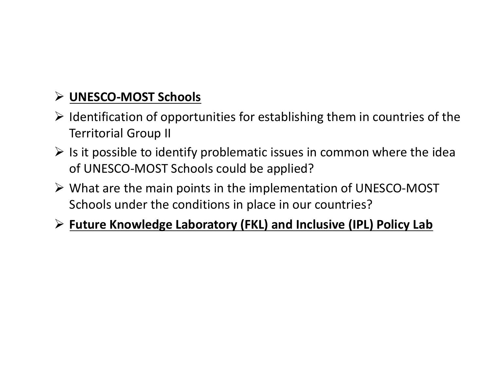## Ø **UNESCO-MOST Schools**

- $\triangleright$  Identification of opportunities for establishing them in countries of the **Territorial Group II**
- $\triangleright$  Is it possible to identify problematic issues in common where the idea of UNESCO-MOST Schools could be applied?
- $\triangleright$  What are the main points in the implementation of UNESCO-MOST Schools under the conditions in place in our countries?

## **► Future Knowledge Laboratory (FKL) and Inclusive (IPL) Policy Lab**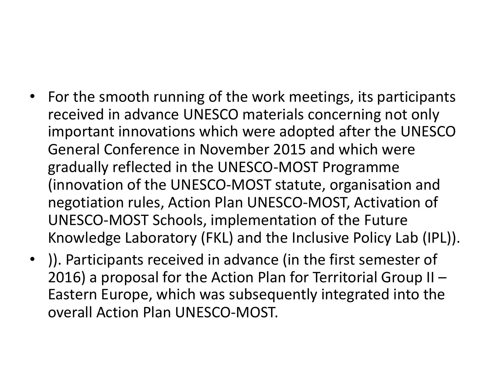- For the smooth running of the work meetings, its participants received in advance UNESCO materials concerning not only important innovations which were adopted after the UNESCO General Conference in November 2015 and which were gradually reflected in the UNESCO-MOST Programme (innovation of the UNESCO-MOST statute, organisation and negotiation rules, Action Plan UNESCO-MOST, Activation of UNESCO-MOST Schools, implementation of the Future Knowledge Laboratory (FKL) and the Inclusive Policy Lab (IPL)).
- ). Participants received in advance (in the first semester of 2016) a proposal for the Action Plan for Territorial Group II  $-$ Eastern Europe, which was subsequently integrated into the overall Action Plan UNESCO-MOST.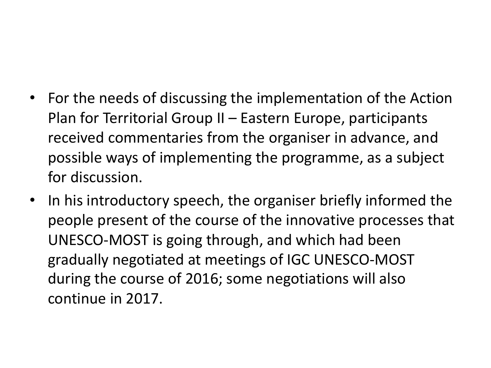- For the needs of discussing the implementation of the Action Plan for Territorial Group II – Eastern Europe, participants received commentaries from the organiser in advance, and possible ways of implementing the programme, as a subject for discussion.
- In his introductory speech, the organiser briefly informed the people present of the course of the innovative processes that UNESCO-MOST is going through, and which had been gradually negotiated at meetings of IGC UNESCO-MOST during the course of 2016; some negotiations will also continue in 2017.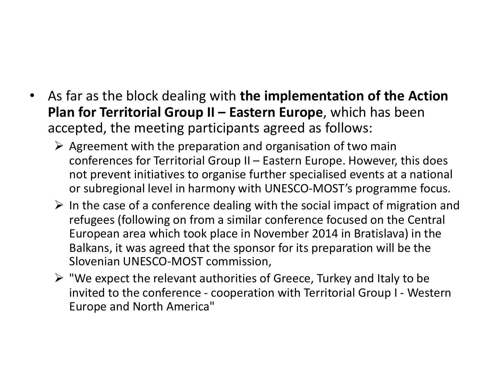- As far as the block dealing with **the implementation of the Action Plan for Territorial Group II – Eastern Europe**, which has been accepted, the meeting participants agreed as follows:
	- $\triangleright$  Agreement with the preparation and organisation of two main conferences for Territorial Group II - Eastern Europe. However, this does not prevent initiatives to organise further specialised events at a national or subregional level in harmony with UNESCO-MOST's programme focus.
	- $\triangleright$  In the case of a conference dealing with the social impact of migration and refugees (following on from a similar conference focused on the Central European area which took place in November 2014 in Bratislava) in the Balkans, it was agreed that the sponsor for its preparation will be the Slovenian UNESCO-MOST commission,
	- $\triangleright$  "We expect the relevant authorities of Greece, Turkey and Italy to be invited to the conference - cooperation with Territorial Group I - Western Europe and North America"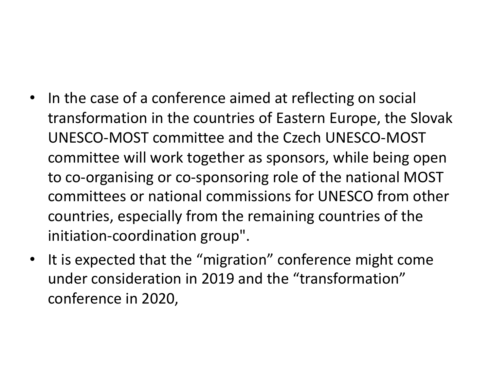- In the case of a conference aimed at reflecting on social transformation in the countries of Eastern Europe, the Slovak UNESCO-MOST committee and the Czech UNESCO-MOST committee will work together as sponsors, while being open to co-organising or co-sponsoring role of the national MOST committees or national commissions for UNESCO from other countries, especially from the remaining countries of the initiation-coordination group".
- It is expected that the "migration" conference might come under consideration in 2019 and the "transformation" conference in 2020,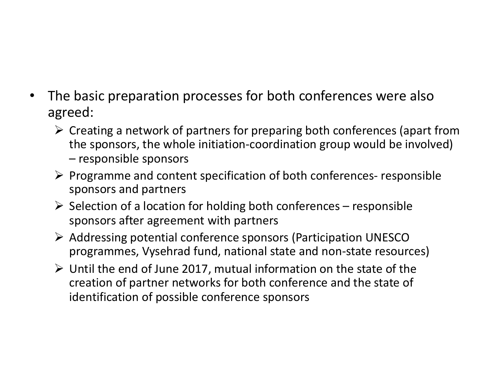- The basic preparation processes for both conferences were also agreed:
	- $\triangleright$  Creating a network of partners for preparing both conferences (apart from the sponsors, the whole initiation-coordination group would be involved)  $-$  responsible sponsors
	- $\triangleright$  Programme and content specification of both conferences- responsible sponsors and partners
	- $\triangleright$  Selection of a location for holding both conferences responsible sponsors after agreement with partners
	- $\triangleright$  Addressing potential conference sponsors (Participation UNESCO programmes, Vysehrad fund, national state and non-state resources)
	- $\triangleright$  Until the end of June 2017, mutual information on the state of the creation of partner networks for both conference and the state of identification of possible conference sponsors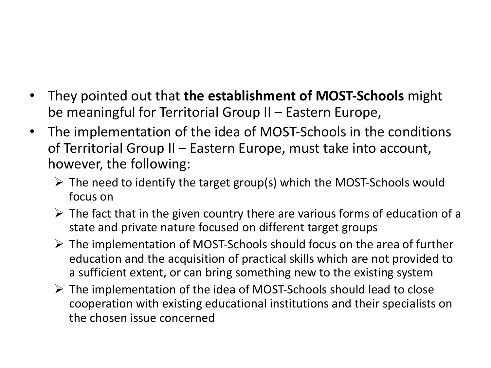- They pointed out that **the establishment of MOST-Schools** might be meaningful for Territorial Group II – Eastern Europe,
- The implementation of the idea of MOST-Schools in the conditions of Territorial Group II – Eastern Europe, must take into account, however, the following:
	- $\triangleright$  The need to identify the target group(s) which the MOST-Schools would focus on
	- $\triangleright$  The fact that in the given country there are various forms of education of a state and private nature focused on different target groups
	- $\triangleright$  The implementation of MOST-Schools should focus on the area of further education and the acquisition of practical skills which are not provided to a sufficient extent, or can bring something new to the existing system
	- $\triangleright$  The implementation of the idea of MOST-Schools should lead to close cooperation with existing educational institutions and their specialists on the chosen issue concerned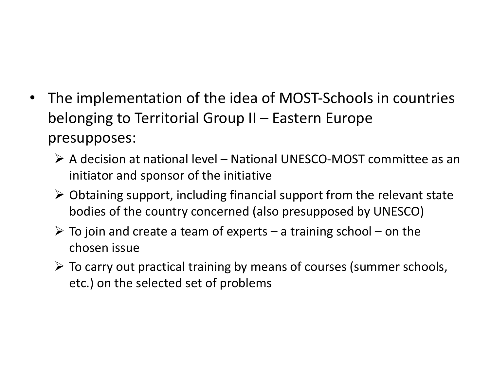- The implementation of the idea of MOST-Schools in countries belonging to Territorial Group  $II$  – Eastern Europe presupposes:
	- $\triangleright$  A decision at national level National UNESCO-MOST committee as an initiator and sponsor of the initiative
	- $\triangleright$  Obtaining support, including financial support from the relevant state bodies of the country concerned (also presupposed by UNESCO)
	- $\triangleright$  To join and create a team of experts a training school on the chosen issue
	- $\triangleright$  To carry out practical training by means of courses (summer schools, etc.) on the selected set of problems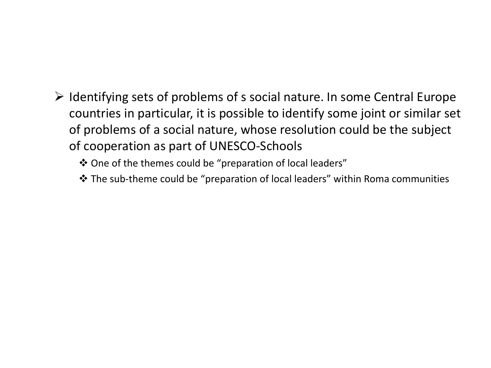- $\triangleright$  Identifying sets of problems of s social nature. In some Central Europe countries in particular, it is possible to identify some joint or similar set of problems of a social nature, whose resolution could be the subject of cooperation as part of UNESCO-Schools
	- ❖ One of the themes could be "preparation of local leaders"
	- $\cdot$  The sub-theme could be "preparation of local leaders" within Roma communities